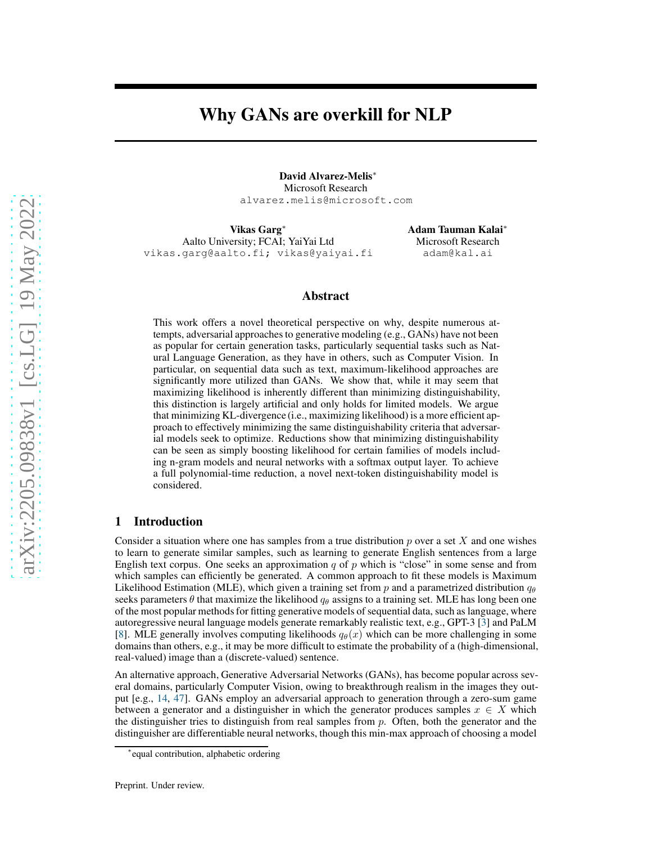# Why GANs are overkill for NLP

David Alvarez-Melis<sup>∗</sup> Microsoft Research alvarez.melis@microsoft.com

Vikas Garg<sup>∗</sup> Aalto University; FCAI; YaiYai Ltd vikas.garg@aalto.fi; vikas@yaiyai.fi Adam Tauman Kalai<sup>∗</sup> Microsoft Research adam@kal.ai

# Abstract

This work offers a novel theoretical perspective on why, despite numerous attempts, adversarial approaches to generative modeling (e.g., GANs) have not been as popular for certain generation tasks, particularly sequential tasks such as Natural Language Generation, as they have in others, such as Computer Vision. In particular, on sequential data such as text, maximum-likelihood approaches are significantly more utilized than GANs. We show that, while it may seem that maximizing likelihood is inherently different than minimizing distinguishability, this distinction is largely artificial and only holds for limited models. We argue that minimizing KL-divergence (i.e., maximizing likelihood) is a more efficient approach to effectively minimizing the same distinguishability criteria that adversarial models seek to optimize. Reductions show that minimizing distinguishability can be seen as simply boosting likelihood for certain families of models including n-gram models and neural networks with a softmax output layer. To achieve a full polynomial-time reduction, a novel next-token distinguishability model is considered.

#### 1 Introduction

Consider a situation where one has samples from a true distribution  $p$  over a set  $X$  and one wishes to learn to generate similar samples, such as learning to generate English sentences from a large English text corpus. One seeks an approximation q of p which is "close" in some sense and from which samples can efficiently be generated. A common approach to fit these models is Maximum Likelihood Estimation (MLE), which given a training set from p and a parametrized distribution  $q_{\theta}$ seeks parameters  $\theta$  that maximize the likelihood  $q_\theta$  assigns to a training set. MLE has long been one of the most popular methods for fitting generative models of sequential data, such as language, where autoregressive neural language models generate remarkably realistic text, e.g., GPT-3 [\[3\]](#page-9-0) and PaLM [\[8](#page-9-1)]. MLE generally involves computing likelihoods  $q_{\theta}(x)$  which can be more challenging in some domains than others, e.g., it may be more difficult to estimate the probability of a (high-dimensional, real-valued) image than a (discrete-valued) sentence.

An alternative approach, Generative Adversarial Networks (GANs), has become popular across several domains, particularly Computer Vision, owing to breakthrough realism in the images they output [e.g., [14](#page-9-2), [47](#page-11-0)]. GANs employ an adversarial approach to generation through a zero-sum game between a generator and a distinguisher in which the generator produces samples  $x \in X$  which the distinguisher tries to distinguish from real samples from  $p$ . Often, both the generator and the distinguisher are differentiable neural networks, though this min-max approach of choosing a model

<sup>∗</sup> equal contribution, alphabetic ordering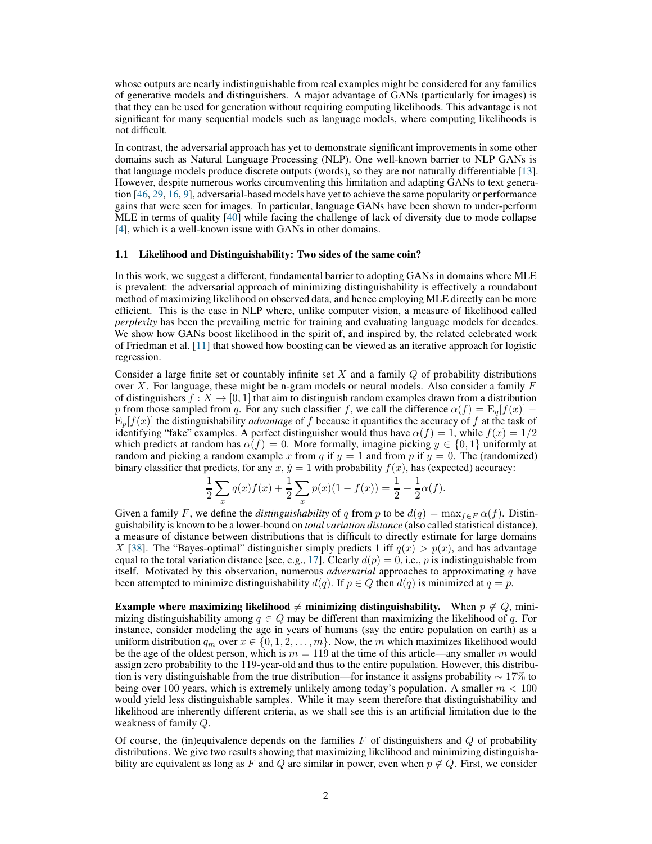whose outputs are nearly indistinguishable from real examples might be considered for any families of generative models and distinguishers. A major advantage of GANs (particularly for images) is that they can be used for generation without requiring computing likelihoods. This advantage is not significant for many sequential models such as language models, where computing likelihoods is not difficult.

In contrast, the adversarial approach has yet to demonstrate significant improvements in some other domains such as Natural Language Processing (NLP). One well-known barrier to NLP GANs is that language models produce discrete outputs (words), so they are not naturally differentiable [\[13\]](#page-9-3). However, despite numerous works circumventing this limitation and adapting GANs to text generation [\[46,](#page-10-0) [29](#page-10-1), [16,](#page-9-4) [9](#page-9-5)], adversarial-based models have yet to achieve the same popularity or performance gains that were seen for images. In particular, language GANs have been shown to under-perform MLE in terms of quality [\[40](#page-10-2)] while facing the challenge of lack of diversity due to mode collapse [\[4](#page-9-6)], which is a well-known issue with GANs in other domains.

# 1.1 Likelihood and Distinguishability: Two sides of the same coin?

In this work, we suggest a different, fundamental barrier to adopting GANs in domains where MLE is prevalent: the adversarial approach of minimizing distinguishability is effectively a roundabout method of maximizing likelihood on observed data, and hence employing MLE directly can be more efficient. This is the case in NLP where, unlike computer vision, a measure of likelihood called *perplexity* has been the prevailing metric for training and evaluating language models for decades. We show how GANs boost likelihood in the spirit of, and inspired by, the related celebrated work of Friedman et al. [\[11](#page-9-7)] that showed how boosting can be viewed as an iterative approach for logistic regression.

Consider a large finite set or countably infinite set  $X$  and a family  $Q$  of probability distributions over  $X$ . For language, these might be n-gram models or neural models. Also consider a family  $F$ of distinguishers  $f: X \to [0, 1]$  that aim to distinguish random examples drawn from a distribution p from those sampled from q. For any such classifier f, we call the difference  $\alpha(f) = \mathbb{E}_q[f(x)]$  –  $E_p[f(x)]$  the distinguishability *advantage* of f because it quantifies the accuracy of f at the task of identifying "fake" examples. A perfect distinguisher would thus have  $\alpha(f) = 1$ , while  $f(x) = 1/2$ which predicts at random has  $\alpha(f) = 0$ . More formally, imagine picking  $y \in \{0, 1\}$  uniformly at random and picking a random example x from q if  $y = 1$  and from p if  $y = 0$ . The (randomized) binary classifier that predicts, for any  $x, \hat{y} = 1$  with probability  $f(x)$ , has (expected) accuracy:

$$
\frac{1}{2}\sum_{x} q(x)f(x) + \frac{1}{2}\sum_{x} p(x)(1 - f(x)) = \frac{1}{2} + \frac{1}{2}\alpha(f).
$$

Given a family F, we define the *distinguishability* of q from p to be  $d(q) = \max_{f \in F} \alpha(f)$ . Distinguishability is known to be a lower-bound on *total variation distance* (also called statistical distance), a measure of distance between distributions that is difficult to directly estimate for large domains X [\[38\]](#page-10-3). The "Bayes-optimal" distinguisher simply predicts 1 iff  $q(x) > p(x)$ , and has advantage equal to the total variation distance [see, e.g., [17](#page-9-8)]. Clearly  $d(p) = 0$ , i.e., p is indistinguishable from itself. Motivated by this observation, numerous *adversarial* approaches to approximating q have been attempted to minimize distinguishability  $d(q)$ . If  $p \in Q$  then  $d(q)$  is minimized at  $q = p$ .

Example where maximizing likelihood  $\neq$  minimizing distinguishability. When  $p \notin Q$ , minimizing distinguishability among  $q \in Q$  may be different than maximizing the likelihood of q. For instance, consider modeling the age in years of humans (say the entire population on earth) as a uniform distribution  $q_m$  over  $x \in \{0, 1, 2, \ldots, m\}$ . Now, the m which maximizes likelihood would be the age of the oldest person, which is  $m = 119$  at the time of this article—any smaller m would assign zero probability to the 119-year-old and thus to the entire population. However, this distribution is very distinguishable from the true distribution—for instance it assigns probability  $\sim 17\%$  to being over 100 years, which is extremely unlikely among today's population. A smaller  $m < 100$ would yield less distinguishable samples. While it may seem therefore that distinguishability and likelihood are inherently different criteria, as we shall see this is an artificial limitation due to the weakness of family Q.

Of course, the (in)equivalence depends on the families  $F$  of distinguishers and  $Q$  of probability distributions. We give two results showing that maximizing likelihood and minimizing distinguishability are equivalent as long as F and Q are similar in power, even when  $p \notin Q$ . First, we consider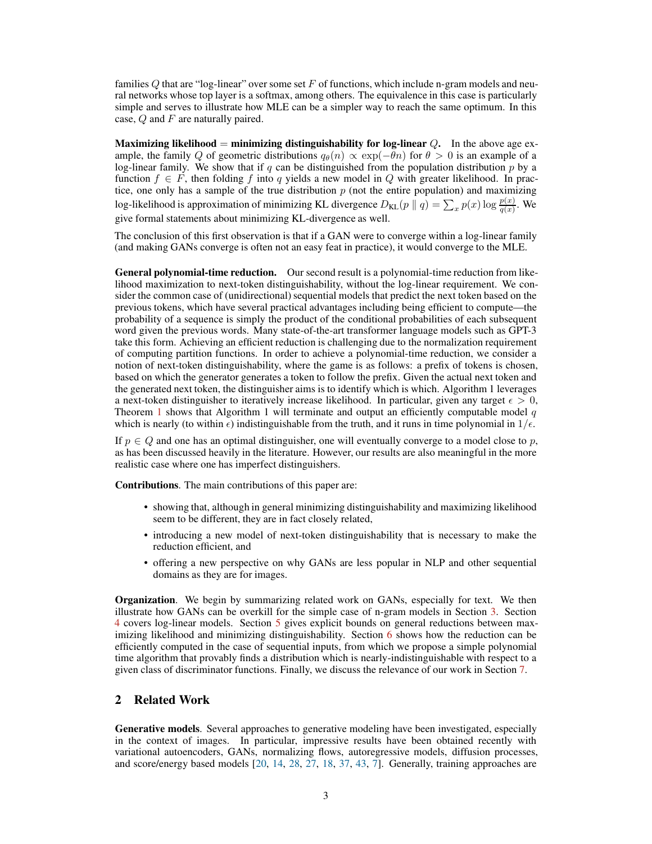families Q that are "log-linear" over some set F of functions, which include n-gram models and neural networks whose top layer is a softmax, among others. The equivalence in this case is particularly simple and serves to illustrate how MLE can be a simpler way to reach the same optimum. In this case,  $Q$  and  $F$  are naturally paired.

Maximizing likelihood  $=$  minimizing distinguishability for log-linear  $Q$ . In the above age example, the family Q of geometric distributions  $q_{\theta}(n) \propto \exp(-\theta n)$  for  $\theta > 0$  is an example of a log-linear family. We show that if q can be distinguished from the population distribution  $p$  by a function  $f \in F$ , then folding f into q yields a new model in Q with greater likelihood. In practice, one only has a sample of the true distribution  $p$  (not the entire population) and maximizing log-likelihood is approximation of minimizing KL divergence  $D_{KL}(p || q) = \sum_x p(x) \log \frac{p(x)}{q(x)}$ . We give formal statements about minimizing KL-divergence as well.

The conclusion of this first observation is that if a GAN were to converge within a log-linear family (and making GANs converge is often not an easy feat in practice), it would converge to the MLE.

General polynomial-time reduction. Our second result is a polynomial-time reduction from likelihood maximization to next-token distinguishability, without the log-linear requirement. We consider the common case of (unidirectional) sequential models that predict the next token based on the previous tokens, which have several practical advantages including being efficient to compute—the probability of a sequence is simply the product of the conditional probabilities of each subsequent word given the previous words. Many state-of-the-art transformer language models such as GPT-3 take this form. Achieving an efficient reduction is challenging due to the normalization requirement of computing partition functions. In order to achieve a polynomial-time reduction, we consider a notion of next-token distinguishability, where the game is as follows: a prefix of tokens is chosen, based on which the generator generates a token to follow the prefix. Given the actual next token and the generated next token, the distinguisher aims is to identify which is which. Algorithm 1 leverages a next-token distinguisher to iteratively increase likelihood. In particular, given any target  $\epsilon > 0$ , Theorem [1](#page-7-0) shows that Algorithm 1 will terminate and output an efficiently computable model  $q$ which is nearly (to within  $\epsilon$ ) indistinguishable from the truth, and it runs in time polynomial in  $1/\epsilon$ .

If  $p \in Q$  and one has an optimal distinguisher, one will eventually converge to a model close to p, as has been discussed heavily in the literature. However, our results are also meaningful in the more realistic case where one has imperfect distinguishers.

Contributions. The main contributions of this paper are:

- showing that, although in general minimizing distinguishability and maximizing likelihood seem to be different, they are in fact closely related,
- introducing a new model of next-token distinguishability that is necessary to make the reduction efficient, and
- offering a new perspective on why GANs are less popular in NLP and other sequential domains as they are for images.

Organization. We begin by summarizing related work on GANs, especially for text. We then illustrate how GANs can be overkill for the simple case of n-gram models in Section [3.](#page-4-0) Section [4](#page-4-1) covers log-linear models. Section [5](#page-5-0) gives explicit bounds on general reductions between maximizing likelihood and minimizing distinguishability. Section [6](#page-7-1) shows how the reduction can be efficiently computed in the case of sequential inputs, from which we propose a simple polynomial time algorithm that provably finds a distribution which is nearly-indistinguishable with respect to a given class of discriminator functions. Finally, we discuss the relevance of our work in Section [7.](#page-8-0)

# 2 Related Work

Generative models. Several approaches to generative modeling have been investigated, especially in the context of images. In particular, impressive results have been obtained recently with variational autoencoders, GANs, normalizing flows, autoregressive models, diffusion processes, and score/energy based models [\[20](#page-9-9), [14,](#page-9-2) [28,](#page-10-4) [27](#page-10-5), [18,](#page-9-10) [37,](#page-10-6) [43](#page-10-7), [7\]](#page-9-11). Generally, training approaches are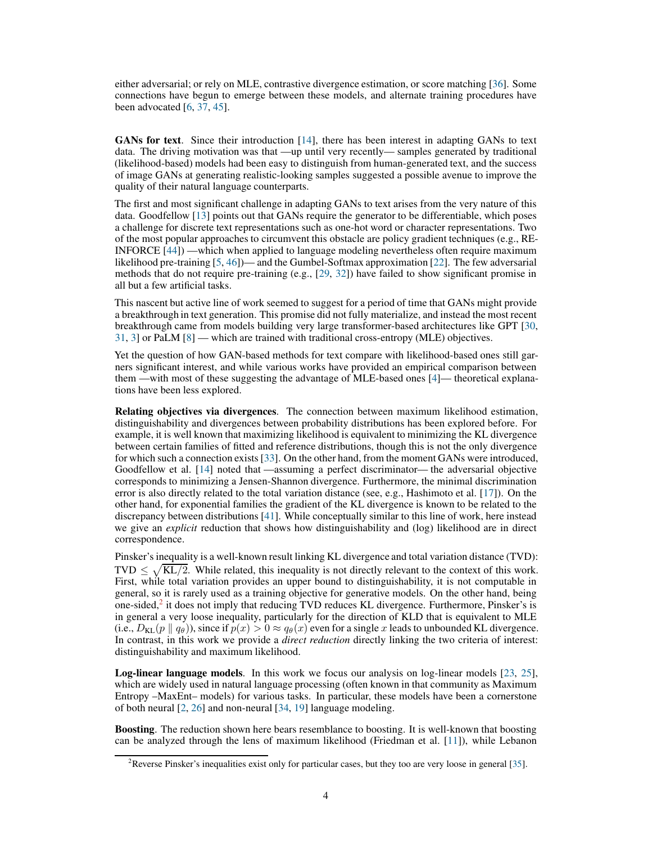either adversarial; or rely on MLE, contrastive divergence estimation, or score matching [\[36\]](#page-10-8). Some connections have begun to emerge between these models, and alternate training procedures have been advocated [\[6](#page-9-12), [37](#page-10-6), [45](#page-10-9)].

GANs for text. Since their introduction [\[14\]](#page-9-2), there has been interest in adapting GANs to text data. The driving motivation was that —up until very recently— samples generated by traditional (likelihood-based) models had been easy to distinguish from human-generated text, and the success of image GANs at generating realistic-looking samples suggested a possible avenue to improve the quality of their natural language counterparts.

The first and most significant challenge in adapting GANs to text arises from the very nature of this data. Goodfellow [\[13\]](#page-9-3) points out that GANs require the generator to be differentiable, which poses a challenge for discrete text representations such as one-hot word or character representations. Two of the most popular approaches to circumvent this obstacle are policy gradient techniques (e.g., RE-INFORCE [\[44\]](#page-10-10)) —which when applied to language modeling nevertheless often require maximum likelihood pre-training [\[5,](#page-9-13) [46\]](#page-10-0))— and the Gumbel-Softmax approximation [\[22](#page-9-14)]. The few adversarial methods that do not require pre-training (e.g., [\[29,](#page-10-1) [32](#page-10-11)]) have failed to show significant promise in all but a few artificial tasks.

This nascent but active line of work seemed to suggest for a period of time that GANs might provide a breakthrough in text generation. This promise did not fully materialize, and instead the most recent breakthrough came from models building very large transformer-based architectures like GPT [\[30,](#page-10-12) [31,](#page-10-13) [3\]](#page-9-0) or PaLM [\[8](#page-9-1)] — which are trained with traditional cross-entropy (MLE) objectives.

Yet the question of how GAN-based methods for text compare with likelihood-based ones still garners significant interest, and while various works have provided an empirical comparison between them —with most of these suggesting the advantage of MLE-based ones [\[4\]](#page-9-6)— theoretical explanations have been less explored.

Relating objectives via divergences. The connection between maximum likelihood estimation, distinguishability and divergences between probability distributions has been explored before. For example, it is well known that maximizing likelihood is equivalent to minimizing the KL divergence between certain families of fitted and reference distributions, though this is not the only divergence for which such a connection exists [\[33](#page-10-14)]. On the other hand, from the moment GANs were introduced, Goodfellow et al. [\[14\]](#page-9-2) noted that —assuming a perfect discriminator— the adversarial objective corresponds to minimizing a Jensen-Shannon divergence. Furthermore, the minimal discrimination error is also directly related to the total variation distance (see, e.g., Hashimoto et al. [\[17\]](#page-9-8)). On the other hand, for exponential families the gradient of the KL divergence is known to be related to the discrepancy between distributions [\[41](#page-10-15)]. While conceptually similar to this line of work, here instead we give an *explicit* reduction that shows how distinguishability and (log) likelihood are in direct correspondence.

Pinsker's inequality is a well-known result linking KL divergence and total variation distance (TVD): TVD  $\leq \sqrt{KL/2}$ . While related, this inequality is not directly relevant to the context of this work. First, while total variation provides an upper bound to distinguishability, it is not computable in general, so it is rarely used as a training objective for generative models. On the other hand, being one-sided, $2$  it does not imply that reducing TVD reduces KL divergence. Furthermore, Pinsker's is in general a very loose inequality, particularly for the direction of KLD that is equivalent to MLE (i.e.,  $D_{\text{KL}}(p \parallel q_\theta)$ ), since if  $p(x) > 0 \approx q_\theta(x)$  even for a single x leads to unbounded KL divergence. In contrast, in this work we provide a *direct reduction* directly linking the two criteria of interest: distinguishability and maximum likelihood.

Log-linear language models. In this work we focus our analysis on log-linear models [\[23](#page-10-16), [25\]](#page-10-17), which are widely used in natural language processing (often known in that community as Maximum Entropy –MaxEnt– models) for various tasks. In particular, these models have been a cornerstone of both neural [\[2,](#page-9-15) [26\]](#page-10-18) and non-neural [\[34](#page-10-19), [19](#page-9-16)] language modeling.

Boosting. The reduction shown here bears resemblance to boosting. It is well-known that boosting can be analyzed through the lens of maximum likelihood (Friedman et al. [\[11](#page-9-7)]), while Lebanon

<span id="page-3-0"></span><sup>&</sup>lt;sup>2</sup>Reverse Pinsker's inequalities exist only for particular cases, but they too are very loose in general [\[35](#page-10-20)].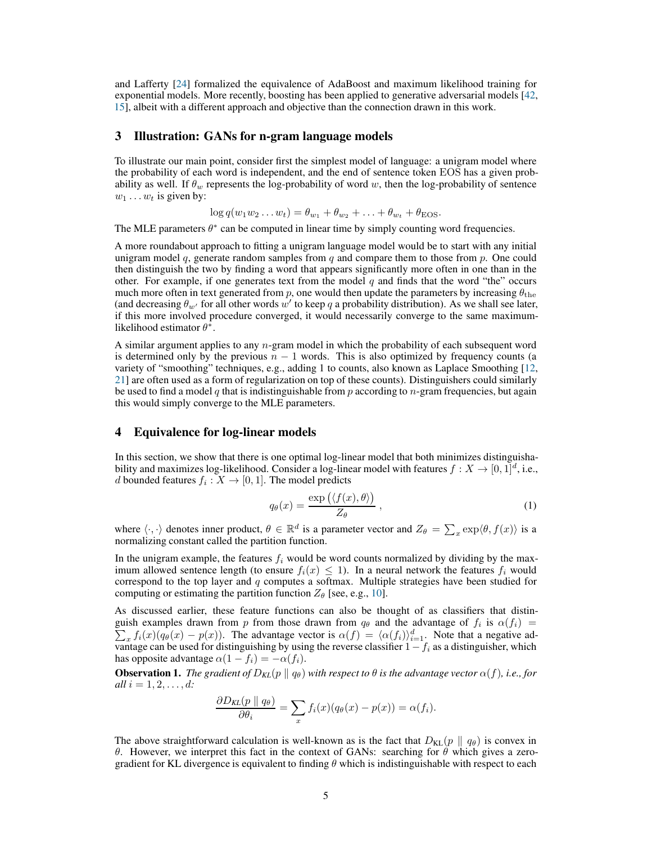and Lafferty [\[24\]](#page-10-21) formalized the equivalence of AdaBoost and maximum likelihood training for exponential models. More recently, boosting has been applied to generative adversarial models [\[42,](#page-10-22) [15](#page-9-17)], albeit with a different approach and objective than the connection drawn in this work.

# <span id="page-4-0"></span>3 Illustration: GANs for n-gram language models

To illustrate our main point, consider first the simplest model of language: a unigram model where the probability of each word is independent, and the end of sentence token EOS has a given probability as well. If  $\theta_w$  represents the log-probability of word w, then the log-probability of sentence  $w_1 \ldots w_t$  is given by:

$$
\log q(w_1w_2\ldots w_t)=\theta_{w_1}+\theta_{w_2}+\ldots+\theta_{w_t}+\theta_{\text{EOS}}.
$$

The MLE parameters  $\theta^*$  can be computed in linear time by simply counting word frequencies.

A more roundabout approach to fitting a unigram language model would be to start with any initial unigram model q, generate random samples from  $q$  and compare them to those from  $p$ . One could then distinguish the two by finding a word that appears significantly more often in one than in the other. For example, if one generates text from the model q and finds that the word "the" occurs much more often in text generated from p, one would then update the parameters by increasing  $\theta_{\text{the}}$ (and decreasing  $\theta_{w'}$  for all other words  $w'$  to keep q a probability distribution). As we shall see later, if this more involved procedure converged, it would necessarily converge to the same maximumlikelihood estimator  $\theta^*$ .

A similar argument applies to any n-gram model in which the probability of each subsequent word is determined only by the previous  $n - 1$  words. This is also optimized by frequency counts (a variety of "smoothing" techniques, e.g., adding 1 to counts, also known as Laplace Smoothing [\[12,](#page-9-18) [21\]](#page-9-19) are often used as a form of regularization on top of these counts). Distinguishers could similarly be used to find a model  $q$  that is indistinguishable from  $p$  according to  $n$ -gram frequencies, but again this would simply converge to the MLE parameters.

#### <span id="page-4-1"></span>4 Equivalence for log-linear models

In this section, we show that there is one optimal log-linear model that both minimizes distinguishability and maximizes log-likelihood. Consider a log-linear model with features  $f: X \to [0,1]^d$ , i.e., d bounded features  $f_i: X \to [0,1].$  The model predicts

$$
q_{\theta}(x) = \frac{\exp\left(\langle f(x), \theta \rangle\right)}{Z_{\theta}}, \qquad (1)
$$

where  $\langle \cdot, \cdot \rangle$  denotes inner product,  $\theta \in \mathbb{R}^d$  is a parameter vector and  $Z_{\theta} = \sum_x \exp \langle \theta, f(x) \rangle$  is a normalizing constant called the partition function.

In the unigram example, the features  $f_i$  would be word counts normalized by dividing by the maximum allowed sentence length (to ensure  $f_i(x) \le 1$ ). In a neural network the features  $f_i$  would correspond to the top layer and  $q$  computes a softmax. Multiple strategies have been studied for computing or estimating the partition function  $Z_{\theta}$  [see, e.g., [10\]](#page-9-20).

As discussed earlier, these feature functions can also be thought of as classifiers that distinguish examples drawn from p from those drawn from  $q_{\theta}$  and the advantage of  $f_i$  is  $\alpha(f_i)$  =  $\sum_x f_i(x)(q_\theta(x) - p(x))$ . The advantage vector is  $\alpha(f) = \langle \alpha(f_i) \rangle_{i=1}^d$ . Note that a negative advantage can be used for distinguishing by using the reverse classifier  $1-f_i$  as a distinguisher, which has opposite advantage  $\alpha(1 - f_i) = -\alpha(f_i)$ .

<span id="page-4-2"></span>**Observation 1.** *The gradient of*  $D_{KL}(p \parallel q_{\theta})$  *with respect to*  $\theta$  *is the advantage vector*  $\alpha(f)$ *, i.e., for all*  $i = 1, 2, ..., d$ *:* 

$$
\frac{\partial D_{KL}(p \parallel q_{\theta})}{\partial \theta_i} = \sum_x f_i(x) (q_{\theta}(x) - p(x)) = \alpha(f_i).
$$

The above straightforward calculation is well-known as is the fact that  $D_{KL}(p \parallel q_\theta)$  is convex in θ. However, we interpret this fact in the context of GANs: searching for θ which gives a zerogradient for KL divergence is equivalent to finding  $\theta$  which is indistinguishable with respect to each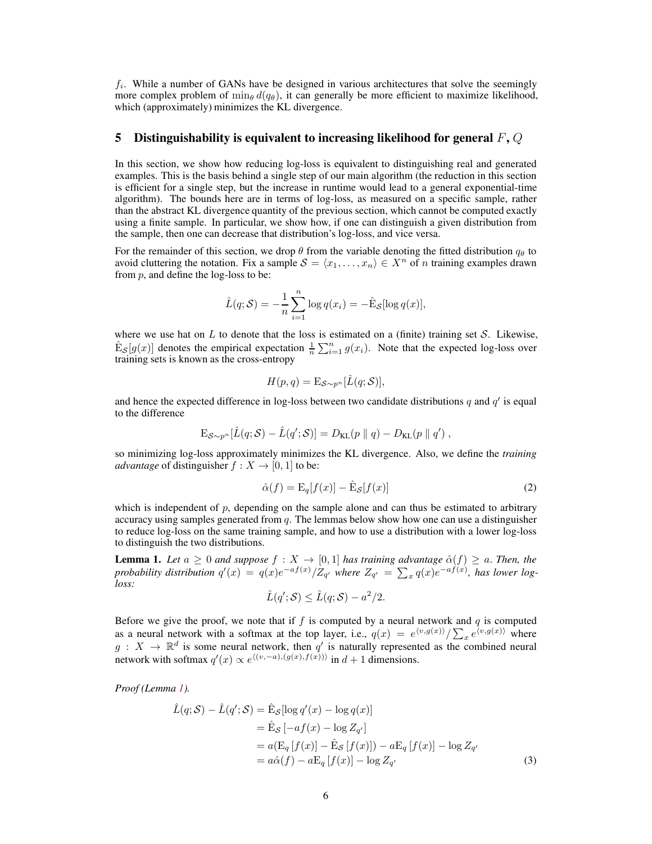$f_i$ . While a number of GANs have be designed in various architectures that solve the seemingly more complex problem of  $\min_{\theta} d(q_{\theta})$ , it can generally be more efficient to maximize likelihood, which (approximately) minimizes the KL divergence.

#### <span id="page-5-0"></span>5 Distinguishability is equivalent to increasing likelihood for general  $F, Q$

In this section, we show how reducing log-loss is equivalent to distinguishing real and generated examples. This is the basis behind a single step of our main algorithm (the reduction in this section is efficient for a single step, but the increase in runtime would lead to a general exponential-time algorithm). The bounds here are in terms of log-loss, as measured on a specific sample, rather than the abstract KL divergence quantity of the previous section, which cannot be computed exactly using a finite sample. In particular, we show how, if one can distinguish a given distribution from the sample, then one can decrease that distribution's log-loss, and vice versa.

For the remainder of this section, we drop  $\theta$  from the variable denoting the fitted distribution  $q_{\theta}$  to avoid cluttering the notation. Fix a sample  $S = \langle x_1, \ldots, x_n \rangle \in X^n$  of n training examples drawn from  $p$ , and define the log-loss to be:

$$
\hat{L}(q; \mathcal{S}) = -\frac{1}{n} \sum_{i=1}^{n} \log q(x_i) = -\hat{E}_{\mathcal{S}}[\log q(x)],
$$

where we use hat on  $L$  to denote that the loss is estimated on a (finite) training set  $S$ . Likewise,  $\hat{E}_{\mathcal{S}}[g(x)]$  denotes the empirical expectation  $\frac{1}{n}\sum_{i=1}^{n} g(x_i)$ . Note that the expected log-loss over training sets is known as the cross-entropy

$$
H(p,q) = \mathcal{E}_{\mathcal{S} \sim p^n}[\hat{L}(q; \mathcal{S})],
$$

and hence the expected difference in log-loss between two candidate distributions  $q$  and  $q'$  is equal to the difference

$$
\mathrm{E}_{\mathcal{S}\sim p^n}[\hat{L}(q; \mathcal{S}) - \hat{L}(q'; \mathcal{S})] = D_{\mathrm{KL}}(p \parallel q) - D_{\mathrm{KL}}(p \parallel q'),
$$

so minimizing log-loss approximately minimizes the KL divergence. Also, we define the *training advantage* of distinguisher  $f : X \to [0, 1]$  to be:

<span id="page-5-3"></span>
$$
\hat{\alpha}(f) = \mathcal{E}_q[f(x)] - \hat{\mathcal{E}}_{\mathcal{S}}[f(x)]\tag{2}
$$

which is independent of  $p$ , depending on the sample alone and can thus be estimated to arbitrary accuracy using samples generated from  $q$ . The lemmas below show how one can use a distinguisher to reduce log-loss on the same training sample, and how to use a distribution with a lower log-loss to distinguish the two distributions.

<span id="page-5-1"></span>**Lemma 1.** Let  $a \geq 0$  and suppose  $f : X \to [0, 1]$  has training advantage  $\hat{\alpha}(f) \geq a$ . Then, the *probability distribution*  $q'(x) = q(x)e^{-af(x)}/Z_{q'}$  where  $Z_{q'} = \sum_x q(x)e^{-af(x)}$ , has lower log*loss:*

<span id="page-5-2"></span>
$$
\hat{L}(q';\mathcal{S}) \leq \hat{L}(q;\mathcal{S}) - a^2/2.
$$

Before we give the proof, we note that if  $f$  is computed by a neural network and  $q$  is computed as a neural network with a softmax at the top layer, i.e.,  $q(x) = e^{(v,g(x))}/\sum_x e^{(v,g(x))}$  where  $g: X \to \mathbb{R}^d$  is some neural network, then q' is naturally represented as the combined neural network with softmax  $q'(x) \propto e^{\langle (v, -a), (g(x), f(x)) \rangle}$  in  $d + 1$  dimensions.

*Proof (Lemma [1\)](#page-5-1).*

$$
\hat{L}(q; \mathcal{S}) - \hat{L}(q'; \mathcal{S}) = \hat{E}_{\mathcal{S}}[\log q'(x) - \log q(x)]
$$
  
\n
$$
= \hat{E}_{\mathcal{S}}[-af(x) - \log Z_{q'}]
$$
  
\n
$$
= a(\mathcal{E}_q[f(x)] - \hat{E}_{\mathcal{S}}[f(x)]) - a\mathcal{E}_q[f(x)] - \log Z_{q'}
$$
  
\n
$$
= a\hat{\alpha}(f) - a\mathcal{E}_q[f(x)] - \log Z_{q'} \tag{3}
$$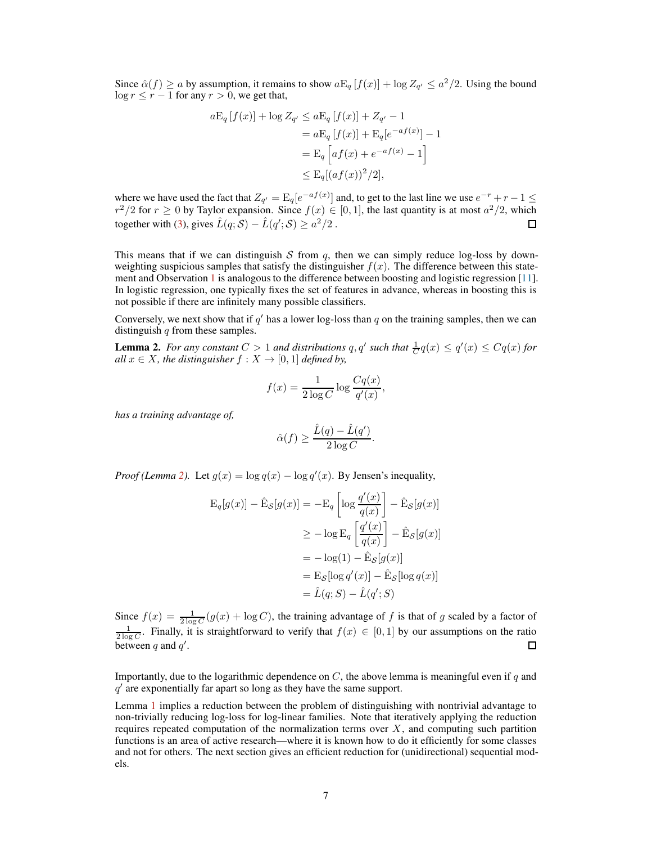Since  $\hat{\alpha}(f) \ge a$  by assumption, it remains to show  $a \mathbb{E}_q[f(x)] + \log Z_{q'} \le a^2/2$ . Using the bound  $\log r \le r - 1$  for any  $r > 0$ , we get that,

$$
aE_q[f(x)] + \log Z_{q'} \le aE_q[f(x)] + Z_{q'} - 1
$$
  
=  $aE_q[f(x)] + E_q[e^{-af(x)}] - 1$   
=  $E_q\left[a f(x) + e^{-af(x)} - 1\right]$   
 $\le E_q[(af(x))^2/2],$ 

where we have used the fact that  $Z_{q'} = \mathrm{E}_q[e^{-af(x)}]$  and, to get to the last line we use  $e^{-r} + r - 1 \leq$  $r^2/2$  for  $r \ge 0$  by Taylor expansion. Since  $f(x) \in [0,1]$ , the last quantity is at most  $a^2/2$ , which together with [\(3\)](#page-5-2), gives  $\hat{L}(q; \mathcal{S}) - \hat{L}(q'; \mathcal{S}) \geq a^2/2$ .  $\Box$ 

This means that if we can distinguish S from q, then we can simply reduce log-loss by downweighting suspicious samples that satisfy the distinguisher  $f(x)$ . The difference between this statement and Observation [1](#page-4-2) is analogous to the difference between boosting and logistic regression [\[11\]](#page-9-7). In logistic regression, one typically fixes the set of features in advance, whereas in boosting this is not possible if there are infinitely many possible classifiers.

Conversely, we next show that if  $q'$  has a lower log-loss than  $q$  on the training samples, then we can distinguish  $q$  from these samples.

<span id="page-6-0"></span>**Lemma 2.** For any constant  $C > 1$  and distributions  $q, q'$  such that  $\frac{1}{C}q(x) \le q'(x) \le Cq(x)$  for *all*  $x \in X$ *, the distinguisher*  $f : X \to [0, 1]$  *defined by,* 

$$
f(x) = \frac{1}{2 \log C} \log \frac{Cq(x)}{q'(x)},
$$

*has a training advantage of,*

$$
\hat{\alpha}(f) \ge \frac{\hat{L}(q) - \hat{L}(q')}{2 \log C}.
$$

*Proof (Lemma [2\)](#page-6-0)*. Let  $g(x) = \log q(x) - \log q'(x)$ . By Jensen's inequality,

$$
\begin{aligned} \mathbf{E}_q[g(x)] - \hat{\mathbf{E}}_{\mathcal{S}}[g(x)] &= -\mathbf{E}_q \left[ \log \frac{q'(x)}{q(x)} \right] - \hat{\mathbf{E}}_{\mathcal{S}}[g(x)] \\ &\geq -\log \mathbf{E}_q \left[ \frac{q'(x)}{q(x)} \right] - \hat{\mathbf{E}}_{\mathcal{S}}[g(x)] \\ &= -\log(1) - \hat{\mathbf{E}}_{\mathcal{S}}[g(x)] \\ &= \mathbf{E}_{\mathcal{S}}[\log q'(x)] - \hat{\mathbf{E}}_{\mathcal{S}}[\log q(x)] \\ &= \hat{L}(q; S) - \hat{L}(q'; S) \end{aligned}
$$

Since  $f(x) = \frac{1}{2 \log C} (g(x) + \log C)$ , the training advantage of f is that of g scaled by a factor of  $\frac{1}{2 \log C}$ . Finally, it is straightforward to verify that  $f(x) \in [0,1]$  by our assumptions on the ratio between q and  $q'$ .  $\Box$ 

Importantly, due to the logarithmic dependence on  $C$ , the above lemma is meaningful even if q and  $q'$  are exponentially far apart so long as they have the same support.

Lemma [1](#page-5-1) implies a reduction between the problem of distinguishing with nontrivial advantage to non-trivially reducing log-loss for log-linear families. Note that iteratively applying the reduction requires repeated computation of the normalization terms over  $X$ , and computing such partition functions is an area of active research—where it is known how to do it efficiently for some classes and not for others. The next section gives an efficient reduction for (unidirectional) sequential models.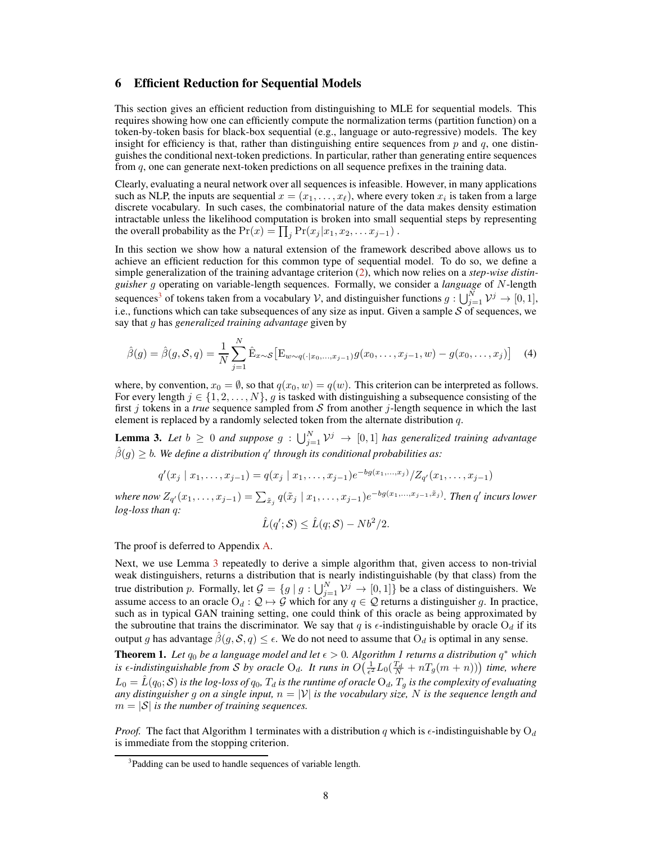#### <span id="page-7-1"></span>6 Efficient Reduction for Sequential Models

This section gives an efficient reduction from distinguishing to MLE for sequential models. This requires showing how one can efficiently compute the normalization terms (partition function) on a token-by-token basis for black-box sequential (e.g., language or auto-regressive) models. The key insight for efficiency is that, rather than distinguishing entire sequences from  $p$  and  $q$ , one distinguishes the conditional next-token predictions. In particular, rather than generating entire sequences from q, one can generate next-token predictions on all sequence prefixes in the training data.

Clearly, evaluating a neural network over all sequences is infeasible. However, in many applications such as NLP, the inputs are sequential  $x = (x_1, \ldots, x_\ell)$ , where every token  $x_i$  is taken from a large discrete vocabulary. In such cases, the combinatorial nature of the data makes density estimation intractable unless the likelihood computation is broken into small sequential steps by representing the overall probability as the  $Pr(x) = \prod_j Pr(x_j | x_1, x_2, \dots x_{j-1})$ .

In this section we show how a natural extension of the framework described above allows us to achieve an efficient reduction for this common type of sequential model. To do so, we define a simple generalization of the training advantage criterion [\(2\)](#page-5-3), which now relies on a *step-wise distinguisher* g operating on variable-length sequences. Formally, we consider a *language* of N-length sequences<sup>[3](#page-7-2)</sup> of tokens taken from a vocabulary V, and distinguisher functions  $g: \bigcup_{j=1}^{N} \mathcal{V}^j \to [0,1],$ i.e., functions which can take subsequences of any size as input. Given a sample  $S$  of sequences, we say that g has *generalized training advantage* given by

$$
\hat{\beta}(g) = \hat{\beta}(g, S, q) = \frac{1}{N} \sum_{j=1}^{N} \hat{E}_{x \sim S} \left[ E_{w \sim q(\cdot | x_0, \dots, x_{j-1})} g(x_0, \dots, x_{j-1}, w) - g(x_0, \dots, x_j) \right]
$$
(4)

where, by convention,  $x_0 = \emptyset$ , so that  $q(x_0, w) = q(w)$ . This criterion can be interpreted as follows. For every length  $j \in \{1, 2, \ldots, N\}$ , g is tasked with distinguishing a subsequence consisting of the first  $j$  tokens in a *true* sequence sampled from  $S$  from another  $j$ -length sequence in which the last element is replaced by a randomly selected token from the alternate distribution q.

<span id="page-7-3"></span>**Lemma 3.** Let  $b \ge 0$  and suppose  $g : \bigcup_{j=1}^{N} \mathcal{V}^j \to [0,1]$  has generalized training advantage  $\hat{\beta}(g) \geq b$ . We define a distribution  $q'$  through its conditional probabilities as:

$$
q'(x_j | x_1, \ldots, x_{j-1}) = q(x_j | x_1, \ldots, x_{j-1})e^{-bg(x_1, \ldots, x_j)}/Z_{q'}(x_1, \ldots, x_{j-1})
$$

where now  $Z_{q'}(x_1,\ldots,x_{j-1})=\sum_{\tilde{x}_j}q(\tilde{x}_j\mid x_1,\ldots,x_{j-1})e^{-bg(x_1,\ldots,x_{j-1},\tilde{x}_j)}.$  *Then*  $q'$  *incurs lower log-loss than* q*:*

$$
\hat{L}(q';\mathcal{S}) \leq \hat{L}(q;\mathcal{S}) - Nb^2/2.
$$

The proof is deferred to Appendix [A.](#page-11-1)

Next, we use Lemma [3](#page-7-3) repeatedly to derive a simple algorithm that, given access to non-trivial weak distinguishers, returns a distribution that is nearly indistinguishable (by that class) from the true distribution p. Formally, let  $\mathcal{G} = \{g \mid g : \bigcup_{j=1}^{N} \mathcal{V}^j \to [0,1]\}$  be a class of distinguishers. We assume access to an oracle  $O_d$  :  $\mathcal{Q} \mapsto \mathcal{G}$  which for any  $q \in \mathcal{Q}$  returns a distinguisher g. In practice, such as in typical GAN training setting, one could think of this oracle as being approximated by the subroutine that trains the discriminator. We say that q is  $\epsilon$ -indistinguishable by oracle O<sub>d</sub> if its output g has advantage  $\hat{\beta}(g, \mathcal{S}, q) \leq \epsilon$ . We do not need to assume that  $O_d$  is optimal in any sense.

<span id="page-7-0"></span>**Theorem 1.** Let  $q_0$  be a language model and let  $\epsilon > 0$ . Algorithm 1 returns a distribution  $q^*$  which is  $\epsilon$ -indistinguishable from S by oracle O<sub>d</sub>. It runs in  $O(\frac{1}{\epsilon^2}L_0(\frac{T_d}{N}+nT_g(m+n)))$  time, where  $L_0 = \hat{L}(q_0; S)$  is the log-loss of  $q_0$ ,  $T_d$  is the runtime of oracle  ${\rm O}_d$ ,  $T_g$  is the complexity of evaluating *any distinguisher* g *on a single input,* n = |V| *is the vocabulary size,* N *is the sequence length and*  $m = |\mathcal{S}|$  *is the number of training sequences.* 

*Proof.* The fact that Algorithm 1 terminates with a distribution q which is  $\epsilon$ -indistinguishable by  $O_d$ is immediate from the stopping criterion.

<span id="page-7-2"></span><sup>&</sup>lt;sup>3</sup>Padding can be used to handle sequences of variable length.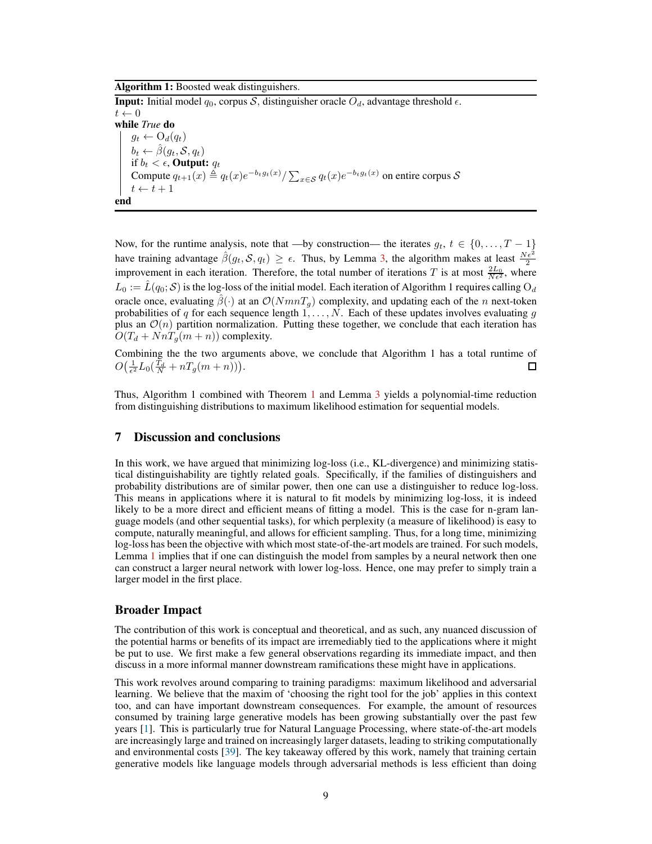#### Algorithm 1: Boosted weak distinguishers.

**Input:** Initial model  $q_0$ , corpus S, distinguisher oracle  $O_d$ , advantage threshold  $\epsilon$ .  $t \leftarrow 0$ while *True* do  $g_t \leftarrow O_d(q_t)$  $b_t \leftarrow \hat{\beta}(g_t, \mathcal{S}, q_t)$ if  $b_t < \epsilon$ , Output:  $q_t$ Compute  $q_{t+1}(x) \triangleq q_t(x)e^{-b_t g_t(x)} / \sum_{x \in S} q_t(x)e^{-b_t g_t(x)}$  on entire corpus S  $t \leftarrow t + 1$ end

Now, for the runtime analysis, note that —by construction— the iterates  $g_t, t \in \{0, \ldots, T-1\}$ have training advantage  $\hat{\beta}(g_t, \mathcal{S}, q_t) \ge \epsilon$ . Thus, by Lemma [3,](#page-7-3) the algorithm makes at least  $\frac{N\epsilon^2}{2}$  improvement in each iteration. Therefore, the total number of iterations T is at most  $\frac{2L_0}{N\epsilon^2}$ , where  $L_0 := \hat{L}(q_0; S)$  is the log-loss of the initial model. Each iteration of Algorithm 1 requires calling  $O_d$ oracle once, evaluating  $\beta(\cdot)$  at an  $\mathcal{O}(NmnT_q)$  complexity, and updating each of the n next-token probabilities of q for each sequence length  $1, \ldots, N$ . Each of these updates involves evaluating g plus an  $\mathcal{O}(n)$  partition normalization. Putting these together, we conclude that each iteration has  $O(T_d + NnT_q(m+n))$  complexity.

Combining the the two arguments above, we conclude that Algorithm 1 has a total runtime of  $O(\frac{1}{\epsilon^2}L_0(\frac{T_d}{N}+nT_g(m+n))).$  $\Box$ 

Thus, Algorithm 1 combined with Theorem [1](#page-7-0) and Lemma [3](#page-7-3) yields a polynomial-time reduction from distinguishing distributions to maximum likelihood estimation for sequential models.

### <span id="page-8-0"></span>7 Discussion and conclusions

In this work, we have argued that minimizing log-loss (i.e., KL-divergence) and minimizing statistical distinguishability are tightly related goals. Specifically, if the families of distinguishers and probability distributions are of similar power, then one can use a distinguisher to reduce log-loss. This means in applications where it is natural to fit models by minimizing log-loss, it is indeed likely to be a more direct and efficient means of fitting a model. This is the case for n-gram language models (and other sequential tasks), for which perplexity (a measure of likelihood) is easy to compute, naturally meaningful, and allows for efficient sampling. Thus, for a long time, minimizing log-loss has been the objective with which most state-of-the-art models are trained. For such models, Lemma [1](#page-5-1) implies that if one can distinguish the model from samples by a neural network then one can construct a larger neural network with lower log-loss. Hence, one may prefer to simply train a larger model in the first place.

#### Broader Impact

The contribution of this work is conceptual and theoretical, and as such, any nuanced discussion of the potential harms or benefits of its impact are irremediably tied to the applications where it might be put to use. We first make a few general observations regarding its immediate impact, and then discuss in a more informal manner downstream ramifications these might have in applications.

This work revolves around comparing to training paradigms: maximum likelihood and adversarial learning. We believe that the maxim of 'choosing the right tool for the job' applies in this context too, and can have important downstream consequences. For example, the amount of resources consumed by training large generative models has been growing substantially over the past few years [\[1](#page-9-21)]. This is particularly true for Natural Language Processing, where state-of-the-art models are increasingly large and trained on increasingly larger datasets, leading to striking computationally and environmental costs [\[39](#page-10-23)]. The key takeaway offered by this work, namely that training certain generative models like language models through adversarial methods is less efficient than doing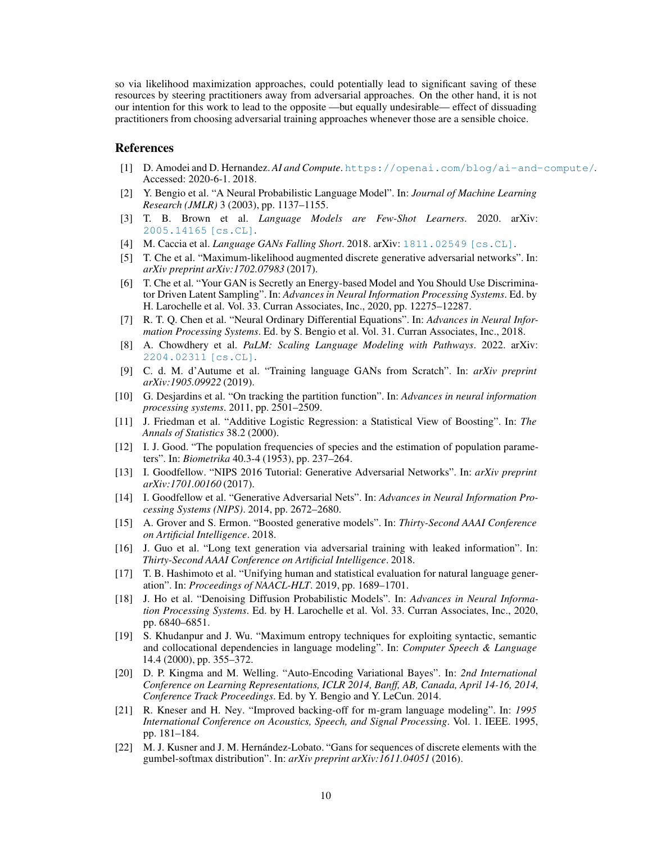so via likelihood maximization approaches, could potentially lead to significant saving of these resources by steering practitioners away from adversarial approaches. On the other hand, it is not our intention for this work to lead to the opposite —but equally undesirable— effect of dissuading practitioners from choosing adversarial training approaches whenever those are a sensible choice.

#### <span id="page-9-21"></span>References

- <span id="page-9-15"></span>[1] D. Amodei and D. Hernandez. *AI and Compute*. <https://openai.com/blog/ai-and-compute/>. Accessed: 2020-6-1. 2018.
- [2] Y. Bengio et al. "A Neural Probabilistic Language Model". In: *Journal of Machine Learning Research (JMLR)* 3 (2003), pp. 1137–1155.
- <span id="page-9-0"></span>[3] T. B. Brown et al. *Language Models are Few-Shot Learners*. 2020. arXiv: [2005.14165 \[cs.CL\]](https://arxiv.org/abs/2005.14165).
- <span id="page-9-13"></span><span id="page-9-6"></span>[4] M. Caccia et al. *Language GANs Falling Short*. 2018. arXiv: [1811.02549 \[cs.CL\]](https://arxiv.org/abs/1811.02549).
- [5] T. Che et al. "Maximum-likelihood augmented discrete generative adversarial networks". In: *arXiv preprint arXiv:1702.07983* (2017).
- <span id="page-9-12"></span>[6] T. Che et al. "Your GAN is Secretly an Energy-based Model and You Should Use Discriminator Driven Latent Sampling". In: *Advances in Neural Information Processing Systems*. Ed. by H. Larochelle et al. Vol. 33. Curran Associates, Inc., 2020, pp. 12275–12287.
- <span id="page-9-11"></span>[7] R. T. Q. Chen et al. "Neural Ordinary Differential Equations". In: *Advances in Neural Information Processing Systems*. Ed. by S. Bengio et al. Vol. 31. Curran Associates, Inc., 2018.
- <span id="page-9-1"></span>[8] A. Chowdhery et al. *PaLM: Scaling Language Modeling with Pathways*. 2022. arXiv: [2204.02311 \[cs.CL\]](https://arxiv.org/abs/2204.02311).
- <span id="page-9-5"></span>[9] C. d. M. d'Autume et al. "Training language GANs from Scratch". In: *arXiv preprint arXiv:1905.09922* (2019).
- <span id="page-9-20"></span>[10] G. Desjardins et al. "On tracking the partition function". In: *Advances in neural information processing systems*. 2011, pp. 2501–2509.
- <span id="page-9-7"></span>[11] J. Friedman et al. "Additive Logistic Regression: a Statistical View of Boosting". In: *The Annals of Statistics* 38.2 (2000).
- <span id="page-9-18"></span>[12] I. J. Good. "The population frequencies of species and the estimation of population parameters". In: *Biometrika* 40.3-4 (1953), pp. 237–264.
- <span id="page-9-3"></span>[13] I. Goodfellow. "NIPS 2016 Tutorial: Generative Adversarial Networks". In: *arXiv preprint arXiv:1701.00160* (2017).
- <span id="page-9-2"></span>[14] I. Goodfellow et al. "Generative Adversarial Nets". In: *Advances in Neural Information Processing Systems (NIPS)*. 2014, pp. 2672–2680.
- <span id="page-9-17"></span>[15] A. Grover and S. Ermon. "Boosted generative models". In: *Thirty-Second AAAI Conference on Artificial Intelligence*. 2018.
- <span id="page-9-4"></span>[16] J. Guo et al. "Long text generation via adversarial training with leaked information". In: *Thirty-Second AAAI Conference on Artificial Intelligence*. 2018.
- <span id="page-9-8"></span>[17] T. B. Hashimoto et al. "Unifying human and statistical evaluation for natural language generation". In: *Proceedings of NAACL-HLT*. 2019, pp. 1689–1701.
- <span id="page-9-10"></span>[18] J. Ho et al. "Denoising Diffusion Probabilistic Models". In: *Advances in Neural Information Processing Systems*. Ed. by H. Larochelle et al. Vol. 33. Curran Associates, Inc., 2020, pp. 6840–6851.
- <span id="page-9-16"></span>[19] S. Khudanpur and J. Wu. "Maximum entropy techniques for exploiting syntactic, semantic and collocational dependencies in language modeling". In: *Computer Speech & Language* 14.4 (2000), pp. 355–372.
- <span id="page-9-9"></span>[20] D. P. Kingma and M. Welling. "Auto-Encoding Variational Bayes". In: *2nd International Conference on Learning Representations, ICLR 2014, Banff, AB, Canada, April 14-16, 2014, Conference Track Proceedings*. Ed. by Y. Bengio and Y. LeCun. 2014.
- <span id="page-9-19"></span>[21] R. Kneser and H. Ney. "Improved backing-off for m-gram language modeling". In: *1995 International Conference on Acoustics, Speech, and Signal Processing*. Vol. 1. IEEE. 1995, pp. 181–184.
- <span id="page-9-14"></span>[22] M. J. Kusner and J. M. Hernández-Lobato. "Gans for sequences of discrete elements with the gumbel-softmax distribution". In: *arXiv preprint arXiv:1611.04051* (2016).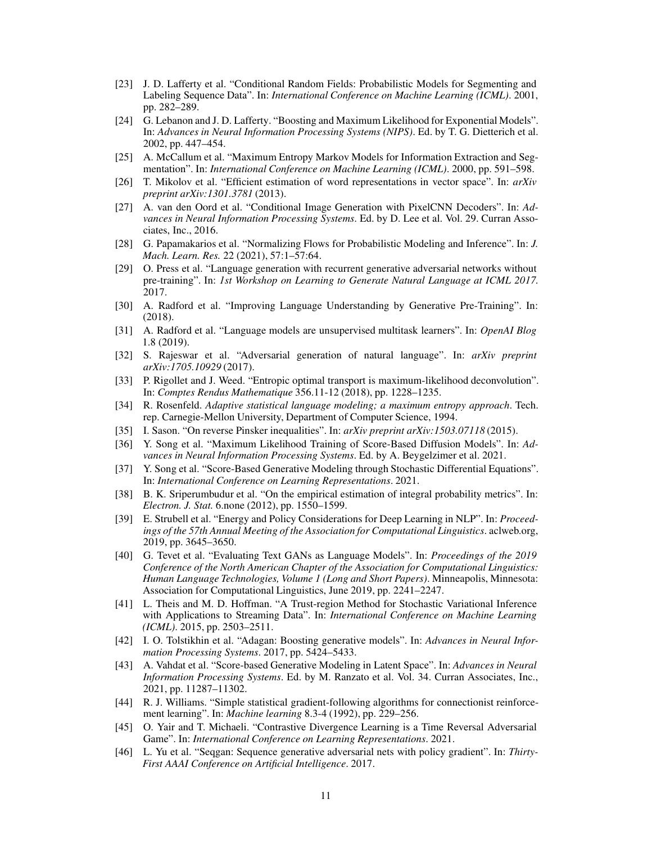- <span id="page-10-16"></span>[23] J. D. Lafferty et al. "Conditional Random Fields: Probabilistic Models for Segmenting and Labeling Sequence Data". In: *International Conference on Machine Learning (ICML)*. 2001, pp. 282–289.
- <span id="page-10-21"></span>[24] G. Lebanon and J. D. Lafferty. "Boosting and Maximum Likelihood for Exponential Models". In: *Advances in Neural Information Processing Systems (NIPS)*. Ed. by T. G. Dietterich et al. 2002, pp. 447–454.
- <span id="page-10-17"></span>[25] A. McCallum et al. "Maximum Entropy Markov Models for Information Extraction and Segmentation". In: *International Conference on Machine Learning (ICML)*. 2000, pp. 591–598.
- <span id="page-10-18"></span>[26] T. Mikolov et al. "Efficient estimation of word representations in vector space". In: *arXiv preprint arXiv:1301.3781* (2013).
- <span id="page-10-5"></span>[27] A. van den Oord et al. "Conditional Image Generation with PixelCNN Decoders". In: *Advances in Neural Information Processing Systems*. Ed. by D. Lee et al. Vol. 29. Curran Associates, Inc., 2016.
- <span id="page-10-4"></span>[28] G. Papamakarios et al. "Normalizing Flows for Probabilistic Modeling and Inference". In: *J. Mach. Learn. Res.* 22 (2021), 57:1–57:64.
- <span id="page-10-1"></span>[29] O. Press et al. "Language generation with recurrent generative adversarial networks without pre-training". In: *1st Workshop on Learning to Generate Natural Language at ICML 2017.* 2017.
- <span id="page-10-12"></span>[30] A. Radford et al. "Improving Language Understanding by Generative Pre-Training". In: (2018).
- <span id="page-10-13"></span>[31] A. Radford et al. "Language models are unsupervised multitask learners". In: *OpenAI Blog* 1.8 (2019).
- <span id="page-10-11"></span>[32] S. Rajeswar et al. "Adversarial generation of natural language". In: *arXiv preprint arXiv:1705.10929* (2017).
- <span id="page-10-14"></span>[33] P. Rigollet and J. Weed. "Entropic optimal transport is maximum-likelihood deconvolution". In: *Comptes Rendus Mathematique* 356.11-12 (2018), pp. 1228–1235.
- <span id="page-10-19"></span>[34] R. Rosenfeld. *Adaptive statistical language modeling; a maximum entropy approach*. Tech. rep. Carnegie-Mellon University, Department of Computer Science, 1994.
- <span id="page-10-20"></span><span id="page-10-8"></span>[35] I. Sason. "On reverse Pinsker inequalities". In: *arXiv preprint arXiv:1503.07118* (2015).
- [36] Y. Song et al. "Maximum Likelihood Training of Score-Based Diffusion Models". In: *Advances in Neural Information Processing Systems*. Ed. by A. Beygelzimer et al. 2021.
- <span id="page-10-6"></span>[37] Y. Song et al. "Score-Based Generative Modeling through Stochastic Differential Equations". In: *International Conference on Learning Representations*. 2021.
- <span id="page-10-3"></span>[38] B. K. Sriperumbudur et al. "On the empirical estimation of integral probability metrics". In: *Electron. J. Stat.* 6.none (2012), pp. 1550–1599.
- <span id="page-10-23"></span>[39] E. Strubell et al. "Energy and Policy Considerations for Deep Learning in NLP". In: *Proceedings of the 57th Annual Meeting of the Association for Computational Linguistics*. aclweb.org, 2019, pp. 3645–3650.
- <span id="page-10-2"></span>[40] G. Tevet et al. "Evaluating Text GANs as Language Models". In: *Proceedings of the 2019 Conference of the North American Chapter of the Association for Computational Linguistics: Human Language Technologies, Volume 1 (Long and Short Papers)*. Minneapolis, Minnesota: Association for Computational Linguistics, June 2019, pp. 2241–2247.
- <span id="page-10-15"></span>[41] L. Theis and M. D. Hoffman. "A Trust-region Method for Stochastic Variational Inference with Applications to Streaming Data". In: *International Conference on Machine Learning (ICML)*. 2015, pp. 2503–2511.
- <span id="page-10-22"></span>[42] I. O. Tolstikhin et al. "Adagan: Boosting generative models". In: *Advances in Neural Information Processing Systems*. 2017, pp. 5424–5433.
- <span id="page-10-7"></span>[43] A. Vahdat et al. "Score-based Generative Modeling in Latent Space". In: *Advances in Neural Information Processing Systems*. Ed. by M. Ranzato et al. Vol. 34. Curran Associates, Inc., 2021, pp. 11287–11302.
- <span id="page-10-10"></span>[44] R. J. Williams. "Simple statistical gradient-following algorithms for connectionist reinforcement learning". In: *Machine learning* 8.3-4 (1992), pp. 229–256.
- <span id="page-10-9"></span>[45] O. Yair and T. Michaeli. "Contrastive Divergence Learning is a Time Reversal Adversarial Game". In: *International Conference on Learning Representations*. 2021.
- <span id="page-10-0"></span>[46] L. Yu et al. "Seqgan: Sequence generative adversarial nets with policy gradient". In: *Thirty-First AAAI Conference on Artificial Intelligence*. 2017.